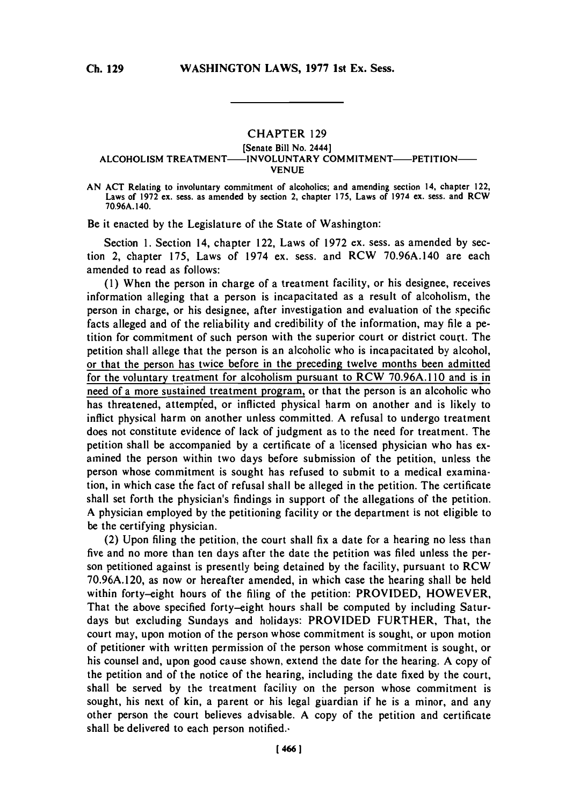## **CHAPTER 129**

## [Senate Bill No. 2444] ALCOHOLISM TREATMENT---- INVOLUNTARY COMMITMENT---- PETITION-**VENUE**

**AN ACT** Relating to involuntary commitment of alcoholics; and amending section 14, chapter 122, Laws of **1972** ex. sess. as amended **by** section 2, chapter **175,** Laws of 1974 ex. sess. and RCW **70.96A.** 140.

Be it enacted **by** the Legislature of the State of Washington:

Section **1.** Section 14, chapter 122, Laws of **1972** ex. sess. as amended **by** section 2, chapter **175,** Laws of 1974 ex. sess. and RCW **70.96A.140** are each amended to read as follows:

**(1)** When the person in charge of a treatment facility, or his designee, receives information alleging that a person is incapacitated as a result of alcoholism, the person in charge, or his designee, after investigation and evaluation of the specific facts alleged and of the reliability and credibility of the information, may file a petition for commitment of such person with the superior court or district court. The petition shall allege that the person is an alcoholic who is incapacitated **by** alcohol, or that the person has twice before in the preceding twelve months been admitted for the voluntary treatment for alcoholism pursuant to RCW 70.96A.110 and is in need of a more sustained treatment program, or that the person is an alcoholic who has threatened, attempied, or inflicted physical harm on another and is likely to inflict physical harm on another unless committed. **A** refusal to undergo treatment does not constitute evidence of lack of judgment as to the need for treatment. The petition shall be accompanied **by** a certificate of a licensed physician who has examined the person within two days before submission of the petition, unless the person whose commitment is sought has refused to submit to a medical examination, in which case the fact of refusal shall be alleged in the petition. The certificate shall set forth the physician's findings in support of the allegations of the petition. **A** physician employed **by** the petitioning facility or the department is not eligible to be the certifying physician.

(2) Upon filing the petition, the court shall fix a date for a hearing no less than five and no more than ten days after the date the petition was filed unless the person petitioned against is presently being detained **by** the facility, pursuant to RCW **70.96A.120,** as now or hereafter amended, in which case the hearing shall be held within forty-eight hours of the filing of the petition: PROVIDED, HOWEVER, That the above specified forty-eight hours shall be computed **by** including Saturdays but excluding Sundays and holidays: PROVIDED FURTHER, That, the court may, upon motion of the person whose commitment is sought, or upon motion of petitioner with written permission of the person whose commitment is sought, or his counsel and, upon good cause shown, extend the date for the hearing. **A** copy of the petition and of the notice of the hearing, including the date fixed **by** the court, shall be served **by** the treatment facility on the person whose commitment is sought, his next of kin, a parent or his legal guardian if he is a minor, and any other person the court believes advisable. **A** copy of the petition and certificate shall be delivered to each person notified..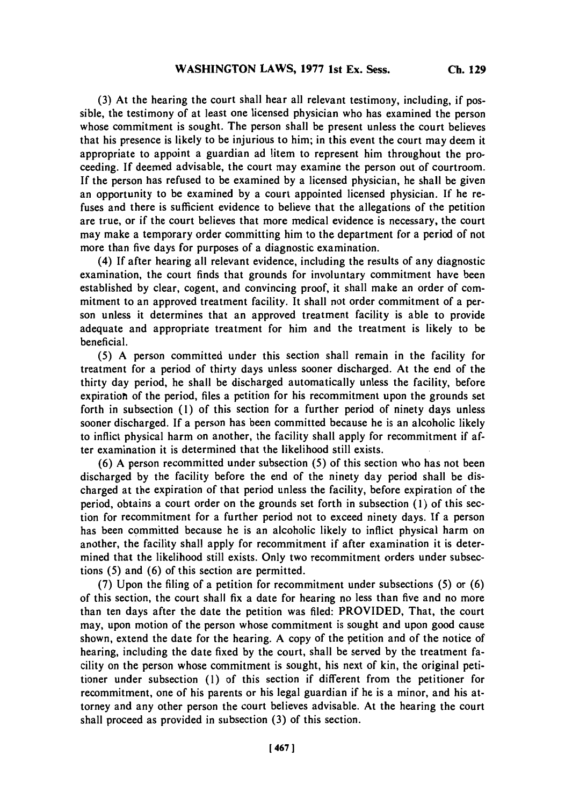**(3)** At the hearing the court shall hear all relevant testimony, including, if possible, the testimony of at least one licensed physician who has examined the person whose commitment is sought. The person shall be present unless the court believes that his presence is likely to be injurious to him; in this event the court may deem it appropriate to appoint a guardian ad litem to represent him throughout the proceeding. **If** deemed advisable, the court may examine the person out of courtroom. **If** the person has refused to be examined **by** a licensed physician, he shall be given an opportunity to be examined **by** a court appointed licensed physician. **If** he refuses and there is sufficient evidence to believe that the allegations of the petition are true, or if the court believes that more medical evidence is necessary, the court may make a temporary order committing him to the department for a period of not more than five days for purposes of a diagnostic examination.

(4) **If** after hearing all relevant evidence, including the results of any diagnostic examination, the court finds that grounds for involuntary commitment have been established **by** clear, cogent, and convincing proof, it shall make an order of commitment to an approved treatment facility. It shall not order commitment of a person unless it determines that an approved treatment facility is able to provide adequate and appropriate treatment for him and the treatment is likely to be beneficial.

**(5) A** person committed under this section shall remain in the facility for treatment for a period of thirty days unless sooner discharged. At the end of the thirty day period, he shall be discharged automatically unless the facility, before expiration of the period, files a petition for his recommitment upon the grounds set forth in subsection **(1)** of this section for a further period of ninety days unless sooner discharged. **If** a person has been committed because he is an alcoholic likely to inflict physical harm on another, the facility shall apply for recommitment if after examination it is determined that the likelihood still exists.

**(6) A** person recommitted under subsection **(5)** of this section who has not been discharged **by** the facility before the end of the ninety day period shall be discharged at the expiration of that period unless the facility, before expiration of the period, obtains a court order on the grounds set forth in subsection **(1)** of this section for recommitment for a further period not to exceed ninety days. If a person has been committed because he is an alcoholic likely to inflict physical harm on another, the facility shall apply for recommitment if after examination it is determined that the likelihood still exists. Only two recommitment orders under subsections **(5)** and **(6)** of this section are permitted.

**(7)** Upon the filing of a petition for recommitment under subsections **(5)** or **(6)** of this section, the court shall fix a date for hearing no less than five and no more than ten days after the date the petition was filed: PROVIDED, That, the court may, upon motion of the person whose commitment is sought and upon good cause shown, extend the date for the hearing. **A** copy of the petition and of the notice of hearing, including the date fixed **by** the court, shall be served **by** the treatment facility on the person whose commitment is sought, his next of kin, the original petitioner under subsection **(1)** of this section if different from the petitioner for recommitment, one of his parents or his legal guardian if he is a minor, and his attorney and any other person the court believes advisable. At the hearing the court shall proceed as provided in subsection **(3)** of this section.